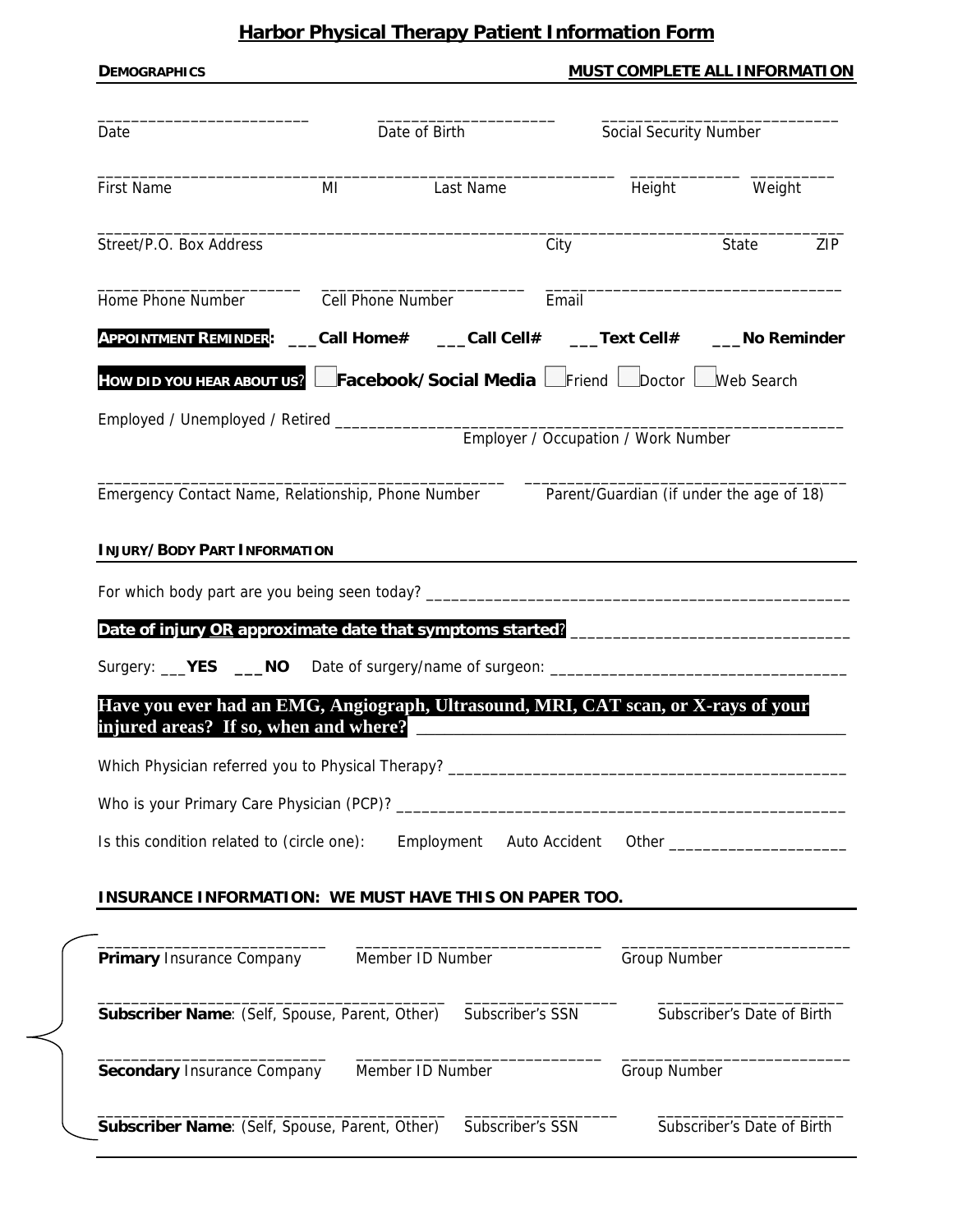# **Harbor Physical Therapy Patient Information Form**

|                                                                                                                                                            |                   |                  |       |                                     | MUST COMPLETE ALL INFORMATION |  |
|------------------------------------------------------------------------------------------------------------------------------------------------------------|-------------------|------------------|-------|-------------------------------------|-------------------------------|--|
| Date                                                                                                                                                       |                   | Date of Birth    |       |                                     | Social Security Number        |  |
| <b>First Name</b>                                                                                                                                          | MI                | Last Name        |       | Height                              | Weight                        |  |
| Street/P.O. Box Address                                                                                                                                    |                   |                  | City  |                                     | State<br>ZIP                  |  |
| Home Phone Number                                                                                                                                          | Cell Phone Number |                  | Email |                                     |                               |  |
| APPOINTMENT REMINDER: ___Call Home# ___Call Cell# ___Text Cell# ___No Reminder                                                                             |                   |                  |       |                                     |                               |  |
| How DID YOU HEAR ABOUT US? Facebook/Social Media Friend Doctor Web Search                                                                                  |                   |                  |       |                                     |                               |  |
|                                                                                                                                                            |                   |                  |       |                                     |                               |  |
|                                                                                                                                                            |                   |                  |       | Employer / Occupation / Work Number |                               |  |
| Emergency Contact Name, Relationship, Phone Number Parent/Guardian (if under the age of 18)                                                                |                   |                  |       |                                     |                               |  |
|                                                                                                                                                            |                   |                  |       |                                     |                               |  |
| <b>INJURY/BODY PART INFORMATION</b>                                                                                                                        |                   |                  |       |                                     |                               |  |
|                                                                                                                                                            |                   |                  |       |                                     |                               |  |
|                                                                                                                                                            |                   |                  |       |                                     |                               |  |
|                                                                                                                                                            |                   |                  |       |                                     |                               |  |
|                                                                                                                                                            |                   |                  |       |                                     |                               |  |
|                                                                                                                                                            |                   |                  |       |                                     |                               |  |
| Have you ever had an EMG, Angiograph, Ultrasound, MRI, CAT scan, or X-rays of your<br>injured areas? If so, when and where?                                |                   |                  |       |                                     |                               |  |
|                                                                                                                                                            |                   |                  |       |                                     |                               |  |
|                                                                                                                                                            |                   |                  |       |                                     |                               |  |
|                                                                                                                                                            |                   |                  |       |                                     |                               |  |
| Is this condition related to (circle one): Employment Auto Accident Other _________________________                                                        |                   |                  |       |                                     |                               |  |
| <b>INSURANCE INFORMATION: WE MUST HAVE THIS ON PAPER TOO.</b>                                                                                              |                   |                  |       |                                     |                               |  |
|                                                                                                                                                            |                   |                  |       |                                     |                               |  |
|                                                                                                                                                            |                   |                  |       | <b>Group Number</b>                 |                               |  |
|                                                                                                                                                            |                   |                  |       |                                     |                               |  |
|                                                                                                                                                            |                   |                  |       |                                     |                               |  |
| <b>Primary Insurance Company</b> Member ID Number<br>Subscriber Name: (Self, Spouse, Parent, Other) Subscriber's SSN<br><b>Secondary Insurance Company</b> |                   | Member ID Number |       | <b>Group Number</b>                 | Subscriber's Date of Birth    |  |
|                                                                                                                                                            |                   |                  |       |                                     |                               |  |